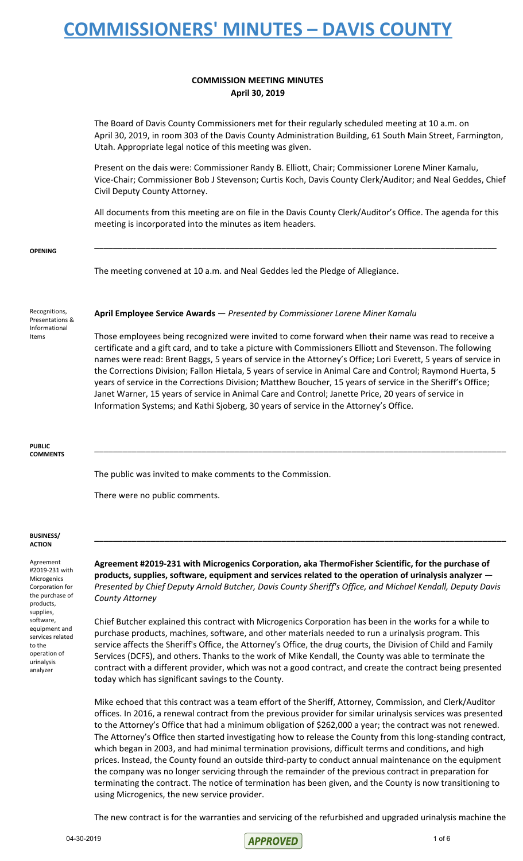#### **COMMISSION MEETING MINUTES April 30, 2019**

The Board of Davis County Commissioners met for their regularly scheduled meeting at 10 a.m. on April 30, 2019, in room 303 of the Davis County Administration Building, 61 South Main Street, Farmington, Utah. Appropriate legal notice of this meeting was given.

Present on the dais were: Commissioner Randy B. Elliott, Chair; Commissioner Lorene Miner Kamalu, Vice-Chair; Commissioner Bob J Stevenson; Curtis Koch, Davis County Clerk/Auditor; and Neal Geddes, Chief Civil Deputy County Attorney.

All documents from this meeting are on file in the Davis County Clerk/Auditor's Office. The agenda for this meeting is incorporated into the minutes as item headers.

**\_\_\_\_\_\_\_\_\_\_\_\_\_\_\_\_\_\_\_\_\_\_\_\_\_\_\_\_\_\_\_\_\_\_\_\_\_\_\_\_\_\_\_\_\_\_\_\_\_\_\_\_\_\_\_\_\_\_\_\_\_\_\_\_\_\_\_\_\_\_\_\_\_\_\_\_\_\_\_\_\_\_\_\_\_\_**

**OPENING**

The meeting convened at 10 a.m. and Neal Geddes led the Pledge of Allegiance.

Recognitions, Presentations & Informational Items

**April Employee Service Awards** — *Presented by Commissioner Lorene Miner Kamalu*

Those employees being recognized were invited to come forward when their name was read to receive a certificate and a gift card, and to take a picture with Commissioners Elliott and Stevenson. The following names were read: Brent Baggs, 5 years of service in the Attorney's Office; Lori Everett, 5 years of service in the Corrections Division; Fallon Hietala, 5 years of service in Animal Care and Control; Raymond Huerta, 5 years of service in the Corrections Division; Matthew Boucher, 15 years of service in the Sheriff's Office; Janet Warner, 15 years of service in Animal Care and Control; Janette Price, 20 years of service in Information Systems; and Kathi Sjoberg, 30 years of service in the Attorney's Office.

\_\_\_\_\_\_\_\_\_\_\_\_\_\_\_\_\_\_\_\_\_\_\_\_\_\_\_\_\_\_\_\_\_\_\_\_\_\_\_\_\_\_\_\_\_\_\_\_\_\_\_\_\_\_\_\_\_\_\_\_\_\_\_\_\_\_\_\_\_\_\_\_\_\_\_\_\_\_\_\_\_\_\_\_\_\_\_\_

**PUBLIC COMMENTS**

The public was invited to make comments to the Commission.

There were no public comments.

#### **BUSINESS/ ACTION**

Agreement #2019-231 with Microgenics Corporation for the purchase of products, supplies, software, equipment and services related to the operation of urinalysis analyzer

**Agreement #2019-231 with Microgenics Corporation, aka ThermoFisher Scientific, for the purchase of products, supplies, software, equipment and services related to the operation of urinalysis analyzer** — *Presented by Chief Deputy Arnold Butcher, Davis County Sheriff's Office, and Michael Kendall, Deputy Davis County Attorney*

**\_\_\_\_\_\_\_\_\_\_\_\_\_\_\_\_\_\_\_\_\_\_\_\_\_\_\_\_\_\_\_\_\_\_\_\_\_\_\_\_\_\_\_\_\_\_\_\_\_\_\_\_\_\_\_\_\_\_\_\_\_\_\_\_\_\_\_\_\_\_\_\_\_\_\_\_\_\_\_\_\_\_\_\_\_\_\_\_**

Chief Butcher explained this contract with Microgenics Corporation has been in the works for a while to purchase products, machines, software, and other materials needed to run a urinalysis program. This service affects the Sheriff's Office, the Attorney's Office, the drug courts, the Division of Child and Family Services (DCFS), and others. Thanks to the work of Mike Kendall, the County was able to terminate the contract with a different provider, which was not a good contract, and create the contract being presented today which has significant savings to the County.

Mike echoed that this contract was a team effort of the Sheriff, Attorney, Commission, and Clerk/Auditor offices. In 2016, a renewal contract from the previous provider for similar urinalysis services was presented to the Attorney's Office that had a minimum obligation of \$262,000 a year; the contract was not renewed. The Attorney's Office then started investigating how to release the County from this long-standing contract, which began in 2003, and had minimal termination provisions, difficult terms and conditions, and high prices. Instead, the County found an outside third-party to conduct annual maintenance on the equipment the company was no longer servicing through the remainder of the previous contract in preparation for terminating the contract. The notice of termination has been given, and the County is now transitioning to using Microgenics, the new service provider.

The new contract is for the warranties and servicing of the refurbished and upgraded urinalysis machine the

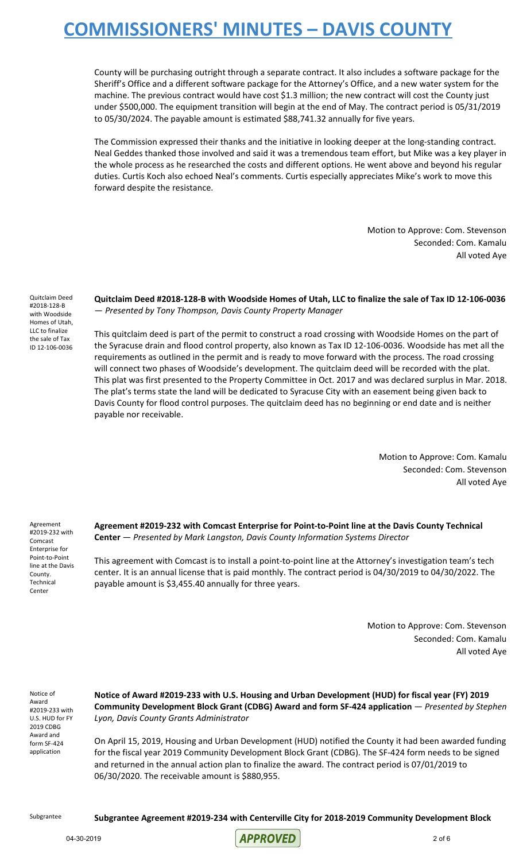County will be purchasing outright through a separate contract. It also includes a software package for the Sheriff's Office and a different software package for the Attorney's Office, and a new water system for the machine. The previous contract would have cost \$1.3 million; the new contract will cost the County just under \$500,000. The equipment transition will begin at the end of May. The contract period is 05/31/2019 to 05/30/2024. The payable amount is estimated \$88,741.32 annually for five years.

The Commission expressed their thanks and the initiative in looking deeper at the long-standing contract. Neal Geddes thanked those involved and said it was a tremendous team effort, but Mike was a key player in the whole process as he researched the costs and different options. He went above and beyond his regular duties. Curtis Koch also echoed Neal's comments. Curtis especially appreciates Mike's work to move this forward despite the resistance.

> Motion to Approve: Com. Stevenson Seconded: Com. Kamalu All voted Aye

Quitclaim Deed #2018-128-B with Woodside Homes of Utah, LLC to finalize the sale of Tax ID 12-106-0036

**Quitclaim Deed #2018-128-B with Woodside Homes of Utah, LLC to finalize the sale of Tax ID 12-106-0036** — *Presented by Tony Thompson, Davis County Property Manager*

This quitclaim deed is part of the permit to construct a road crossing with Woodside Homes on the part of the Syracuse drain and flood control property, also known as Tax ID 12-106-0036. Woodside has met all the requirements as outlined in the permit and is ready to move forward with the process. The road crossing will connect two phases of Woodside's development. The quitclaim deed will be recorded with the plat. This plat was first presented to the Property Committee in Oct. 2017 and was declared surplus in Mar. 2018. The plat's terms state the land will be dedicated to Syracuse City with an easement being given back to Davis County for flood control purposes. The quitclaim deed has no beginning or end date and is neither payable nor receivable.

> Motion to Approve: Com. Kamalu Seconded: Com. Stevenson All voted Aye

Agreement #2019-232 with Comcast Enterprise for Point-to-Point line at the Davis County. Technical Center

**Agreement #2019-232 with Comcast Enterprise for Point-to-Point line at the Davis County Technical Center** — *Presented by Mark Langston, Davis County Information Systems Director*

This agreement with Comcast is to install a point-to-point line at the Attorney's investigation team's tech center. It is an annual license that is paid monthly. The contract period is 04/30/2019 to 04/30/2022. The payable amount is \$3,455.40 annually for three years.

> Motion to Approve: Com. Stevenson Seconded: Com. Kamalu All voted Aye

Notice of Award #2019-233 with U.S. HUD for FY 2019 CDBG Award and form SF-424 application

**Notice of Award #2019-233 with U.S. Housing and Urban Development (HUD) for fiscal year (FY) 2019 Community Development Block Grant (CDBG) Award and form SF-424 application** — *Presented by Stephen Lyon, Davis County Grants Administrator*

On April 15, 2019, Housing and Urban Development (HUD) notified the County it had been awarded funding for the fiscal year 2019 Community Development Block Grant (CDBG). The SF-424 form needs to be signed and returned in the annual action plan to finalize the award. The contract period is 07/01/2019 to 06/30/2020. The receivable amount is \$880,955.

Subgrantee **Subgrantee Agreement #2019-234 with Centerville City for 2018-2019 Community Development Block**

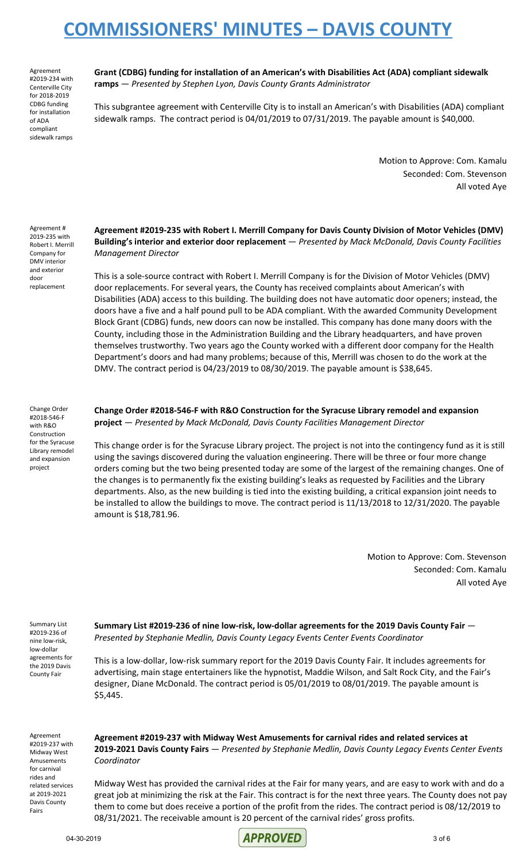Agreement #2019-234 with Centerville City for 2018-2019 CDBG funding for installation of ADA compliant sidewalk ramps

**Grant (CDBG) funding for installation of an American's with Disabilities Act (ADA) compliant sidewalk ramps** — *Presented by Stephen Lyon, Davis County Grants Administrator*

This subgrantee agreement with Centerville City is to install an American's with Disabilities (ADA) compliant sidewalk ramps. The contract period is 04/01/2019 to 07/31/2019. The payable amount is \$40,000.

> Motion to Approve: Com. Kamalu Seconded: Com. Stevenson All voted Aye

Agreement # 2019-235 with Robert I. Merrill Company for DMV interior and exterior door replacement

**Agreement #2019-235 with Robert I. Merrill Company for Davis County Division of Motor Vehicles (DMV) Building's interior and exterior door replacement** — *Presented by Mack McDonald, Davis County Facilities Management Director*

This is a sole-source contract with Robert I. Merrill Company is for the Division of Motor Vehicles (DMV) door replacements. For several years, the County has received complaints about American's with Disabilities (ADA) access to this building. The building does not have automatic door openers; instead, the doors have a five and a half pound pull to be ADA compliant. With the awarded Community Development Block Grant (CDBG) funds, new doors can now be installed. This company has done many doors with the County, including those in the Administration Building and the Library headquarters, and have proven themselves trustworthy. Two years ago the County worked with a different door company for the Health Department's doors and had many problems; because of this, Merrill was chosen to do the work at the DMV. The contract period is 04/23/2019 to 08/30/2019. The payable amount is \$38,645.

Change Order #2018-546-F with R&O Construction for the Syracuse Library remodel and expansion project

**Change Order #2018-546-F with R&O Construction for the Syracuse Library remodel and expansion project** — *Presented by Mack McDonald, Davis County Facilities Management Director*

This change order is for the Syracuse Library project. The project is not into the contingency fund as it is still using the savings discovered during the valuation engineering. There will be three or four more change orders coming but the two being presented today are some of the largest of the remaining changes. One of the changes is to permanently fix the existing building's leaks as requested by Facilities and the Library departments. Also, as the new building is tied into the existing building, a critical expansion joint needs to be installed to allow the buildings to move. The contract period is 11/13/2018 to 12/31/2020. The payable amount is \$18,781.96.

> Motion to Approve: Com. Stevenson Seconded: Com. Kamalu All voted Aye

Summary List #2019-236 of nine low-risk, low-dollar agreements for the 2019 Davis County Fair

**Summary List #2019-236 of nine low-risk, low-dollar agreements for the 2019 Davis County Fair** — *Presented by Stephanie Medlin, Davis County Legacy Events Center Events Coordinator*

This is a low-dollar, low-risk summary report for the 2019 Davis County Fair. It includes agreements for advertising, main stage entertainers like the hypnotist, Maddie Wilson, and Salt Rock City, and the Fair's designer, Diane McDonald. The contract period is 05/01/2019 to 08/01/2019. The payable amount is \$5,445.

Agreement #2019-237 with Midway West Amusements for carnival rides and related services at 2019-2021 Davis County Fairs

**Agreement #2019-237 with Midway West Amusements for carnival rides and related services at 2019-2021 Davis County Fairs** — *Presented by Stephanie Medlin, Davis County Legacy Events Center Events Coordinator*

Midway West has provided the carnival rides at the Fair for many years, and are easy to work with and do a great job at minimizing the risk at the Fair. This contract is for the next three years. The County does not pay them to come but does receive a portion of the profit from the rides. The contract period is 08/12/2019 to 08/31/2021. The receivable amount is 20 percent of the carnival rides' gross profits.

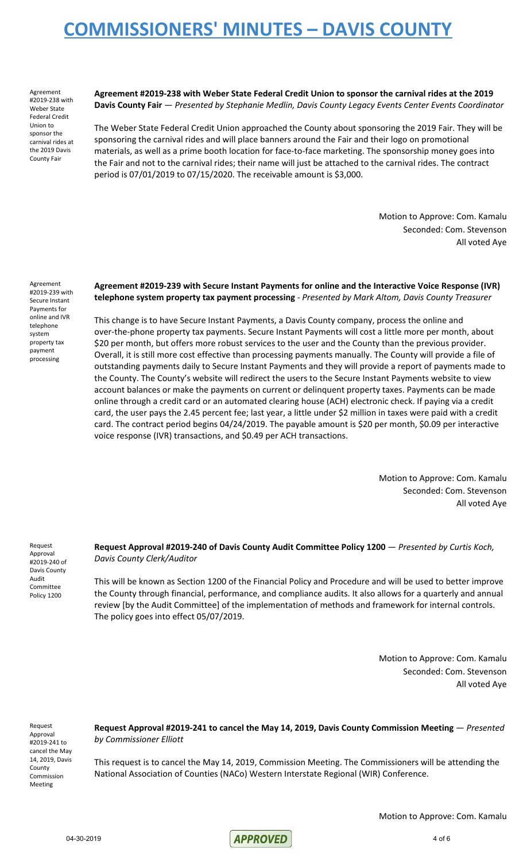Agreement #2019-238 with Weber State Federal Credit Union to sponsor the carnival rides at the 2019 Davis County Fair

**Agreement #2019-238 with Weber State Federal Credit Union to sponsor the carnival rides at the 2019 Davis County Fair** — *Presented by Stephanie Medlin, Davis County Legacy Events Center Events Coordinator*

The Weber State Federal Credit Union approached the County about sponsoring the 2019 Fair. They will be sponsoring the carnival rides and will place banners around the Fair and their logo on promotional materials, as well as a prime booth location for face-to-face marketing. The sponsorship money goes into the Fair and not to the carnival rides; their name will just be attached to the carnival rides. The contract period is 07/01/2019 to 07/15/2020. The receivable amount is \$3,000.

> Motion to Approve: Com. Kamalu Seconded: Com. Stevenson All voted Aye

Agreement #2019-239 with Secure Instant Payments for online and IVR telephone system property tax payment processing

**Agreement #2019-239 with Secure Instant Payments for online and the Interactive Voice Response (IVR) telephone system property tax payment processing** - *Presented by Mark Altom, Davis County Treasurer*

This change is to have Secure Instant Payments, a Davis County company, process the online and over-the-phone property tax payments. Secure Instant Payments will cost a little more per month, about \$20 per month, but offers more robust services to the user and the County than the previous provider. Overall, it is still more cost effective than processing payments manually. The County will provide a file of outstanding payments daily to Secure Instant Payments and they will provide a report of payments made to the County. The County's website will redirect the users to the Secure Instant Payments website to view account balances or make the payments on current or delinquent property taxes. Payments can be made online through a credit card or an automated clearing house (ACH) electronic check. If paying via a credit card, the user pays the 2.45 percent fee; last year, a little under \$2 million in taxes were paid with a credit card. The contract period begins 04/24/2019. The payable amount is \$20 per month, \$0.09 per interactive voice response (IVR) transactions, and \$0.49 per ACH transactions.

> Motion to Approve: Com. Kamalu Seconded: Com. Stevenson All voted Aye

Request Approval #2019-240 of Davis County Audit Committee Policy 1200

**Request Approval #2019-240 of Davis County Audit Committee Policy 1200** — *Presented by Curtis Koch, Davis County Clerk/Auditor*

This will be known as Section 1200 of the Financial Policy and Procedure and will be used to better improve the County through financial, performance, and compliance audits. It also allows for a quarterly and annual review [by the Audit Committee] of the implementation of methods and framework for internal controls. The policy goes into effect 05/07/2019.

> Motion to Approve: Com. Kamalu Seconded: Com. Stevenson All voted Aye

Request Approval #2019-241 to cancel the May 14, 2019, Davis County Commission Meeting

**Request Approval #2019-241 to cancel the May 14, 2019, Davis County Commission Meeting** — *Presented by Commissioner Elliott*

This request is to cancel the May 14, 2019, Commission Meeting. The Commissioners will be attending the National Association of Counties (NACo) Western Interstate Regional (WIR) Conference.

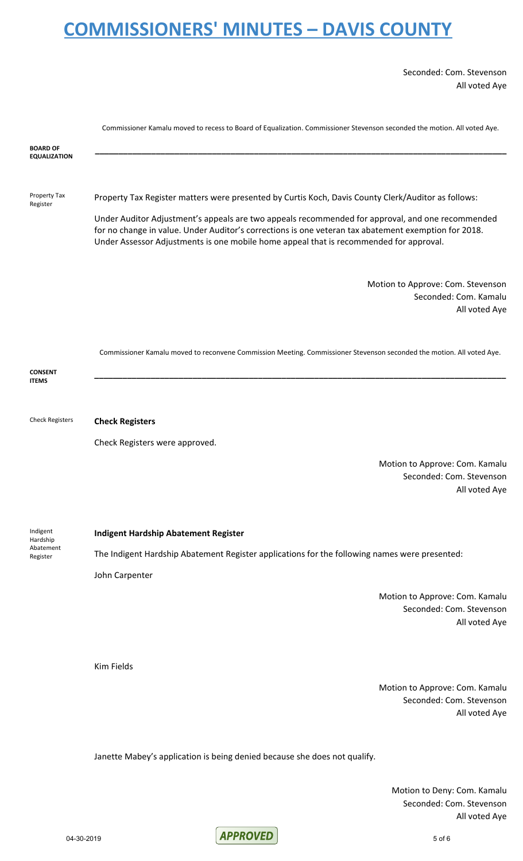Seconded: Com. Stevenson All voted Aye

|                                               | Commissioner Kamalu moved to recess to Board of Equalization. Commissioner Stevenson seconded the motion. All voted Aye.                                                                                                                                                                           |
|-----------------------------------------------|----------------------------------------------------------------------------------------------------------------------------------------------------------------------------------------------------------------------------------------------------------------------------------------------------|
| <b>BOARD OF</b><br><b>EQUALIZATION</b>        |                                                                                                                                                                                                                                                                                                    |
| Property Tax<br>Register                      | Property Tax Register matters were presented by Curtis Koch, Davis County Clerk/Auditor as follows:                                                                                                                                                                                                |
|                                               | Under Auditor Adjustment's appeals are two appeals recommended for approval, and one recommended<br>for no change in value. Under Auditor's corrections is one veteran tax abatement exemption for 2018.<br>Under Assessor Adjustments is one mobile home appeal that is recommended for approval. |
|                                               | Motion to Approve: Com. Stevenson<br>Seconded: Com. Kamalu<br>All voted Aye                                                                                                                                                                                                                        |
| <b>CONSENT</b><br><b>ITEMS</b>                | Commissioner Kamalu moved to reconvene Commission Meeting. Commissioner Stevenson seconded the motion. All voted Aye.                                                                                                                                                                              |
|                                               |                                                                                                                                                                                                                                                                                                    |
| <b>Check Registers</b>                        | <b>Check Registers</b>                                                                                                                                                                                                                                                                             |
|                                               | Check Registers were approved.                                                                                                                                                                                                                                                                     |
|                                               | Motion to Approve: Com. Kamalu                                                                                                                                                                                                                                                                     |
|                                               | Seconded: Com. Stevenson<br>All voted Aye                                                                                                                                                                                                                                                          |
| Indigent<br>Hardship<br>Abatement<br>Register | <b>Indigent Hardship Abatement Register</b>                                                                                                                                                                                                                                                        |
|                                               | The Indigent Hardship Abatement Register applications for the following names were presented:                                                                                                                                                                                                      |
|                                               | John Carpenter                                                                                                                                                                                                                                                                                     |
|                                               | Motion to Approve: Com. Kamalu<br>Seconded: Com. Stevenson<br>All voted Aye                                                                                                                                                                                                                        |
|                                               | Kim Fields                                                                                                                                                                                                                                                                                         |
|                                               | Motion to Approve: Com. Kamalu<br>Seconded: Com. Stevenson<br>All voted Aye                                                                                                                                                                                                                        |

Janette Mabey's application is being denied because she does not qualify.

Motion to Deny: Com. Kamalu Seconded: Com. Stevenson All voted Aye